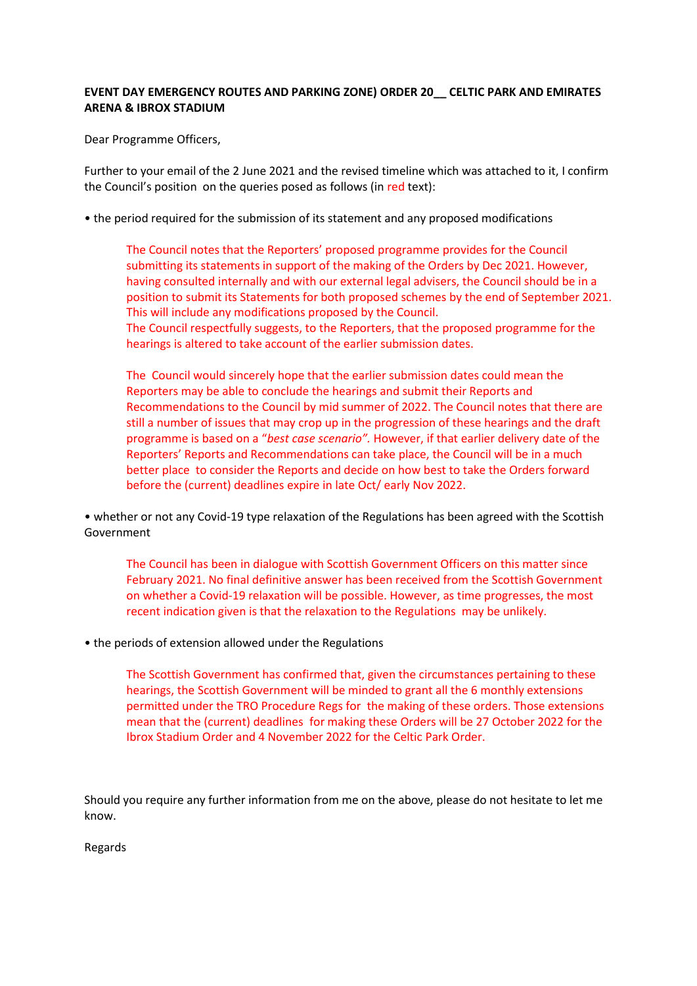## **EVENT DAY EMERGENCY ROUTES AND PARKING ZONE) ORDER 20\_\_ CELTIC PARK AND EMIRATES ARENA & IBROX STADIUM**

Dear Programme Officers,

Further to your email of the 2 June 2021 and the revised timeline which was attached to it, I confirm the Council's position on the queries posed as follows (in red text):

• the period required for the submission of its statement and any proposed modifications

The Council notes that the Reporters' proposed programme provides for the Council submitting its statements in support of the making of the Orders by Dec 2021. However, having consulted internally and with our external legal advisers, the Council should be in a position to submit its Statements for both proposed schemes by the end of September 2021. This will include any modifications proposed by the Council. The Council respectfully suggests, to the Reporters, that the proposed programme for the

hearings is altered to take account of the earlier submission dates.

The Council would sincerely hope that the earlier submission dates could mean the Reporters may be able to conclude the hearings and submit their Reports and Recommendations to the Council by mid summer of 2022. The Council notes that there are still a number of issues that may crop up in the progression of these hearings and the draft programme is based on a "*best case scenario".* However, if that earlier delivery date of the Reporters' Reports and Recommendations can take place, the Council will be in a much better place to consider the Reports and decide on how best to take the Orders forward before the (current) deadlines expire in late Oct/ early Nov 2022.

• whether or not any Covid-19 type relaxation of the Regulations has been agreed with the Scottish Government

The Council has been in dialogue with Scottish Government Officers on this matter since February 2021. No final definitive answer has been received from the Scottish Government on whether a Covid-19 relaxation will be possible. However, as time progresses, the most recent indication given is that the relaxation to the Regulations may be unlikely.

• the periods of extension allowed under the Regulations

The Scottish Government has confirmed that, given the circumstances pertaining to these hearings, the Scottish Government will be minded to grant all the 6 monthly extensions permitted under the TRO Procedure Regs for the making of these orders. Those extensions mean that the (current) deadlines for making these Orders will be 27 October 2022 for the Ibrox Stadium Order and 4 November 2022 for the Celtic Park Order.

Should you require any further information from me on the above, please do not hesitate to let me know.

Regards